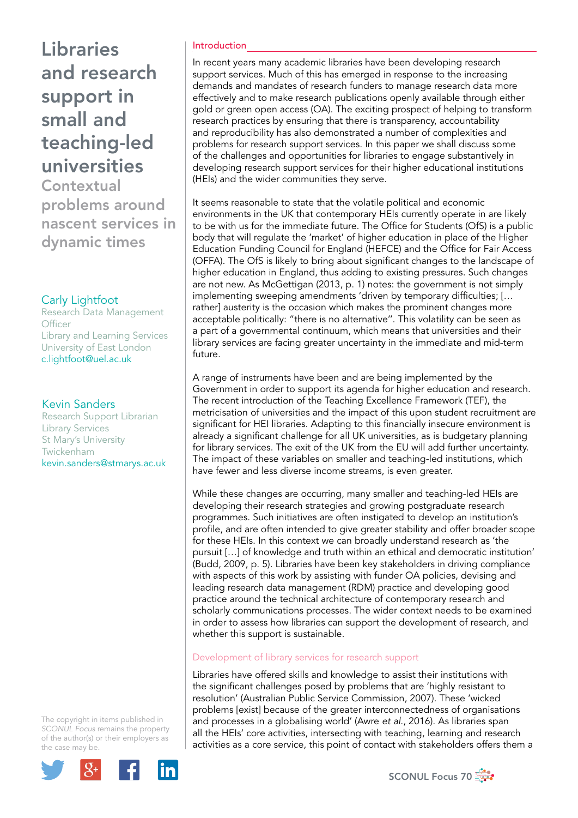**Contextual** problems around nascent services in dynamic times

## Carly Lightfoot

Research Data Management **Officer** Library and Learning Services University of East London c.lightfoot@uel.ac.uk

## Kevin Sanders

Research Support Librarian Library Services St Mary's University Twickenham kevin.sanders@stmarys.ac.uk

The copyright in items published in *SCONUL Focus* remains the property of the author(s) or their employers as the case may be.



### Introduction

In recent years many academic libraries have been developing research support services. Much of this has emerged in response to the increasing demands and mandates of research funders to manage research data more effectively and to make research publications openly available through either gold or green open access (OA). The exciting prospect of helping to transform research practices by ensuring that there is transparency, accountability and reproducibility has also demonstrated a number of complexities and problems for research support services. In this paper we shall discuss some of the challenges and opportunities for libraries to engage substantively in developing research support services for their higher educational institutions (HEIs) and the wider communities they serve.

It seems reasonable to state that the volatile political and economic environments in the UK that contemporary HEIs currently operate in are likely to be with us for the immediate future. The Office for Students (OfS) is a public body that will regulate the 'market' of higher education in place of the Higher Education Funding Council for England (HEFCE) and the Office for Fair Access (OFFA). The OfS is likely to bring about significant changes to the landscape of higher education in England, thus adding to existing pressures. Such changes are not new. As McGettigan (2013, p. 1) notes: the government is not simply implementing sweeping amendments 'driven by temporary difficulties; [… rather] austerity is the occasion which makes the prominent changes more acceptable politically: "there is no alternative''. This volatility can be seen as a part of a governmental continuum, which means that universities and their library services are facing greater uncertainty in the immediate and mid-term future.

A range of instruments have been and are being implemented by the Government in order to support its agenda for higher education and research. The recent introduction of the Teaching Excellence Framework (TEF), the metricisation of universities and the impact of this upon student recruitment are significant for HEI libraries. Adapting to this financially insecure environment is already a significant challenge for all UK universities, as is budgetary planning for library services. The exit of the UK from the EU will add further uncertainty. The impact of these variables on smaller and teaching-led institutions, which have fewer and less diverse income streams, is even greater.

While these changes are occurring, many smaller and teaching-led HEIs are developing their research strategies and growing postgraduate research programmes. Such initiatives are often instigated to develop an institution's profile, and are often intended to give greater stability and offer broader scope for these HEIs. In this context we can broadly understand research as 'the pursuit […] of knowledge and truth within an ethical and democratic institution' (Budd, 2009, p. 5). Libraries have been key stakeholders in driving compliance with aspects of this work by assisting with funder OA policies, devising and leading research data management (RDM) practice and developing good practice around the technical architecture of contemporary research and scholarly communications processes. The wider context needs to be examined in order to assess how libraries can support the development of research, and whether this support is sustainable.

## Development of library services for research support

Libraries have offered skills and knowledge to assist their institutions with the significant challenges posed by problems that are 'highly resistant to resolution' (Australian Public Service Commission, 2007). These 'wicked problems [exist] because of the greater interconnectedness of organisations and processes in a globalising world' (Awre *et al*., 2016). As libraries span all the HEIs' core activities, intersecting with teaching, learning and research activities as a core service, this point of contact with stakeholders offers them a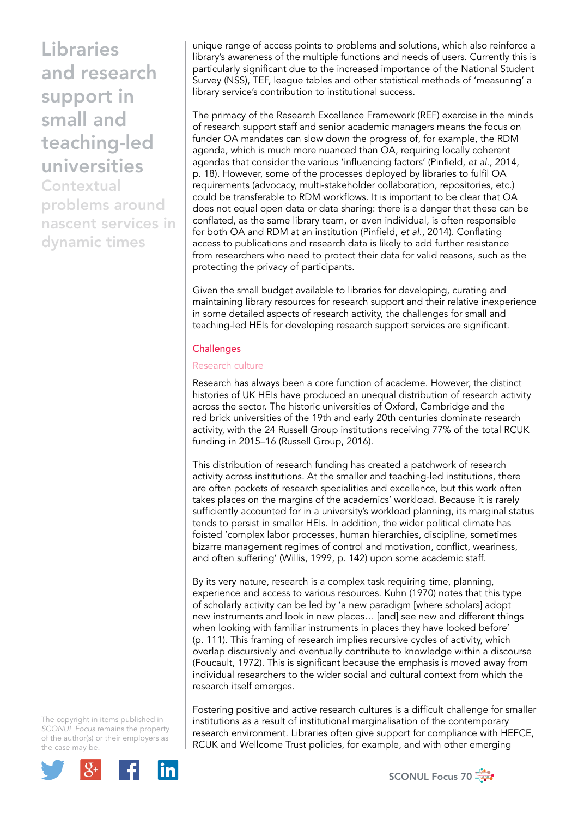**Contextual** problems around nascent services in dynamic times

unique range of access points to problems and solutions, which also reinforce a library's awareness of the multiple functions and needs of users. Currently this is particularly significant due to the increased importance of the National Student Survey (NSS), TEF, league tables and other statistical methods of 'measuring' a library service's contribution to institutional success.

The primacy of the Research Excellence Framework (REF) exercise in the minds of research support staff and senior academic managers means the focus on funder OA mandates can slow down the progress of, for example, the RDM agenda, which is much more nuanced than OA, requiring locally coherent agendas that consider the various 'influencing factors' (Pinfield, *et al*., 2014, p. 18). However, some of the processes deployed by libraries to fulfil OA requirements (advocacy, multi-stakeholder collaboration, repositories, etc.) could be transferable to RDM workflows. It is important to be clear that OA does not equal open data or data sharing: there is a danger that these can be conflated, as the same library team, or even individual, is often responsible for both OA and RDM at an institution (Pinfield, *et al*., 2014). Conflating access to publications and research data is likely to add further resistance from researchers who need to protect their data for valid reasons, such as the protecting the privacy of participants.

Given the small budget available to libraries for developing, curating and maintaining library resources for research support and their relative inexperience in some detailed aspects of research activity, the challenges for small and teaching-led HEIs for developing research support services are significant.

#### **Challenges**

#### Research culture

Research has always been a core function of academe. However, the distinct histories of UK HEIs have produced an unequal distribution of research activity across the sector. The historic universities of Oxford, Cambridge and the red brick universities of the 19th and early 20th centuries dominate research activity, with the 24 Russell Group institutions receiving 77% of the total RCUK funding in 2015–16 (Russell Group, 2016).

This distribution of research funding has created a patchwork of research activity across institutions. At the smaller and teaching-led institutions, there are often pockets of research specialities and excellence, but this work often takes places on the margins of the academics' workload. Because it is rarely sufficiently accounted for in a university's workload planning, its marginal status tends to persist in smaller HEIs. In addition, the wider political climate has foisted 'complex labor processes, human hierarchies, discipline, sometimes bizarre management regimes of control and motivation, conflict, weariness, and often suffering' (Willis, 1999, p. 142) upon some academic staff.

By its very nature, research is a complex task requiring time, planning, experience and access to various resources. Kuhn (1970) notes that this type of scholarly activity can be led by 'a new paradigm [where scholars] adopt new instruments and look in new places… [and] see new and different things when looking with familiar instruments in places they have looked before' (p. 111). This framing of research implies recursive cycles of activity, which overlap discursively and eventually contribute to knowledge within a discourse (Foucault, 1972). This is significant because the emphasis is moved away from individual researchers to the wider social and cultural context from which the research itself emerges.

The copyright in items published in *SCONUL Focus* remains the property of the author(s) or their employers as the case may be.



Fostering positive and active research cultures is a difficult challenge for smaller institutions as a result of institutional marginalisation of the contemporary research environment. Libraries often give support for compliance with HEFCE, RCUK and Wellcome Trust policies, for example, and with other emerging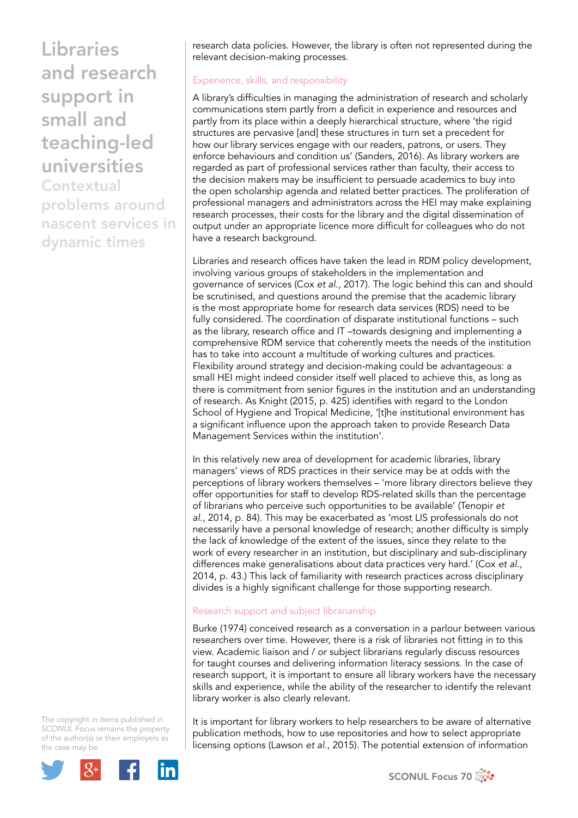**Contextual** problems around nascent services in dynamic times

research data policies. However, the library is often not represented during the relevant decision-making processes.

## Experience, skills, and responsibility

A library's difficulties in managing the administration of research and scholarly communications stem partly from a deficit in experience and resources and partly from its place within a deeply hierarchical structure, where 'the rigid structures are pervasive [and] these structures in turn set a precedent for how our library services engage with our readers, patrons, or users. They enforce behaviours and condition us' (Sanders, 2016). As library workers are regarded as part of professional services rather than faculty, their access to the decision makers may be insufficient to persuade academics to buy into the open scholarship agenda and related better practices. The proliferation of professional managers and administrators across the HEI may make explaining research processes, their costs for the library and the digital dissemination of output under an appropriate licence more difficult for colleagues who do not have a research background.

Libraries and research offices have taken the lead in RDM policy development, involving various groups of stakeholders in the implementation and governance of services (Cox *et al*., 2017). The logic behind this can and should be scrutinised, and questions around the premise that the academic library is the most appropriate home for research data services (RDS) need to be fully considered. The coordination of disparate institutional functions – such as the library, research office and IT –towards designing and implementing a comprehensive RDM service that coherently meets the needs of the institution has to take into account a multitude of working cultures and practices. Flexibility around strategy and decision-making could be advantageous: a small HEI might indeed consider itself well placed to achieve this, as long as there is commitment from senior figures in the institution and an understanding of research. As Knight (2015, p. 425) identifies with regard to the London School of Hygiene and Tropical Medicine, '[t]he institutional environment has a significant influence upon the approach taken to provide Research Data Management Services within the institution'.

In this relatively new area of development for academic libraries, library managers' views of RDS practices in their service may be at odds with the perceptions of library workers themselves – 'more library directors believe they offer opportunities for staff to develop RDS-related skills than the percentage of librarians who perceive such opportunities to be available' (Tenopir *et al*., 2014, p. 84). This may be exacerbated as 'most LIS professionals do not necessarily have a personal knowledge of research; another difficulty is simply the lack of knowledge of the extent of the issues, since they relate to the work of every researcher in an institution, but disciplinary and sub-disciplinary differences make generalisations about data practices very hard.' (Cox *et al*., 2014, p. 43.) This lack of familiarity with research practices across disciplinary divides is a highly significant challenge for those supporting research.

## Research support and subject librarianship

Burke (1974) conceived research as a conversation in a parlour between various researchers over time. However, there is a risk of libraries not fitting in to this view. Academic liaison and / or subject librarians regularly discuss resources for taught courses and delivering information literacy sessions. In the case of research support, it is important to ensure all library workers have the necessary skills and experience, while the ability of the researcher to identify the relevant library worker is also clearly relevant.

The copyright in items published in *SCONUL Focus* remains the property of the author(s) or their employers as the case may be.



It is important for library workers to help researchers to be aware of alternative publication methods, how to use repositories and how to select appropriate licensing options (Lawson *et al*., 2015). The potential extension of information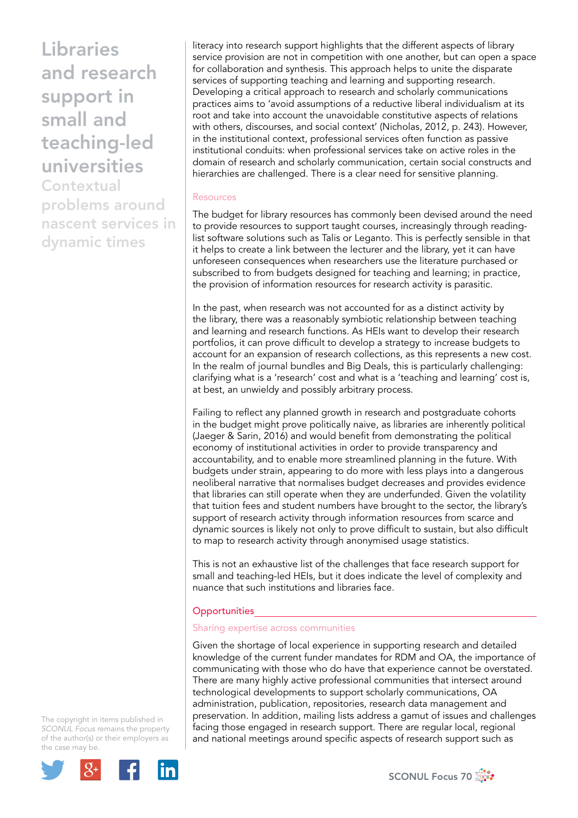**Contextual** problems around nascent services in dynamic times

literacy into research support highlights that the different aspects of library service provision are not in competition with one another, but can open a space for collaboration and synthesis. This approach helps to unite the disparate services of supporting teaching and learning and supporting research. Developing a critical approach to research and scholarly communications practices aims to 'avoid assumptions of a reductive liberal individualism at its root and take into account the unavoidable constitutive aspects of relations with others, discourses, and social context' (Nicholas, 2012, p. 243). However, in the institutional context, professional services often function as passive institutional conduits: when professional services take on active roles in the domain of research and scholarly communication, certain social constructs and hierarchies are challenged. There is a clear need for sensitive planning.

#### Resources

The budget for library resources has commonly been devised around the need to provide resources to support taught courses, increasingly through readinglist software solutions such as Talis or Leganto. This is perfectly sensible in that it helps to create a link between the lecturer and the library, yet it can have unforeseen consequences when researchers use the literature purchased or subscribed to from budgets designed for teaching and learning; in practice, the provision of information resources for research activity is parasitic.

In the past, when research was not accounted for as a distinct activity by the library, there was a reasonably symbiotic relationship between teaching and learning and research functions. As HEIs want to develop their research portfolios, it can prove difficult to develop a strategy to increase budgets to account for an expansion of research collections, as this represents a new cost. In the realm of journal bundles and Big Deals, this is particularly challenging: clarifying what is a 'research' cost and what is a 'teaching and learning' cost is, at best, an unwieldy and possibly arbitrary process.

Failing to reflect any planned growth in research and postgraduate cohorts in the budget might prove politically naive, as libraries are inherently political (Jaeger & Sarin, 2016) and would benefit from demonstrating the political economy of institutional activities in order to provide transparency and accountability, and to enable more streamlined planning in the future. With budgets under strain, appearing to do more with less plays into a dangerous neoliberal narrative that normalises budget decreases and provides evidence that libraries can still operate when they are underfunded. Given the volatility that tuition fees and student numbers have brought to the sector, the library's support of research activity through information resources from scarce and dynamic sources is likely not only to prove difficult to sustain, but also difficult to map to research activity through anonymised usage statistics.

This is not an exhaustive list of the challenges that face research support for small and teaching-led HEIs, but it does indicate the level of complexity and nuance that such institutions and libraries face.

## **Opportunities**

#### Sharing expertise across communities

Given the shortage of local experience in supporting research and detailed knowledge of the current funder mandates for RDM and OA, the importance of communicating with those who do have that experience cannot be overstated. There are many highly active professional communities that intersect around technological developments to support scholarly communications, OA administration, publication, repositories, research data management and preservation. In addition, mailing lists address a gamut of issues and challenges facing those engaged in research support. There are regular local, regional and national meetings around specific aspects of research support such as



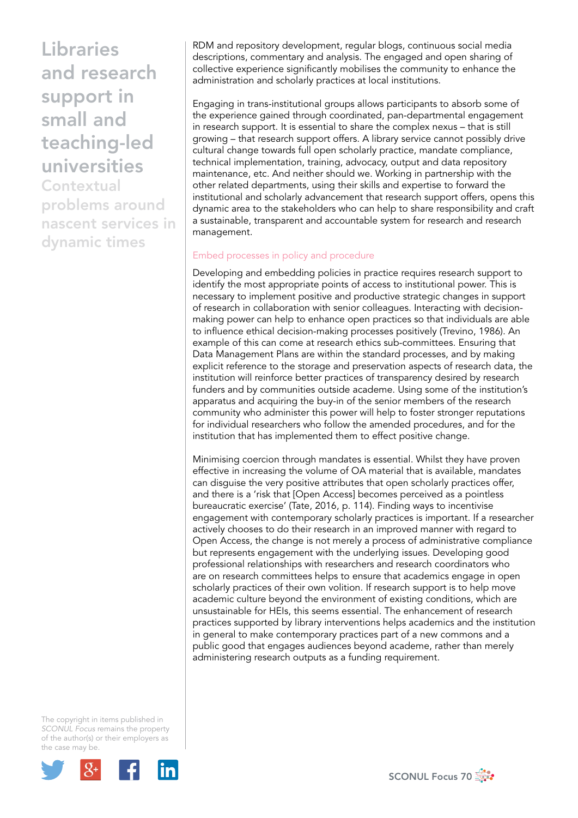**Contextual** problems around nascent services in dynamic times

RDM and repository development, regular blogs, continuous social media descriptions, commentary and analysis. The engaged and open sharing of collective experience significantly mobilises the community to enhance the administration and scholarly practices at local institutions.

Engaging in trans-institutional groups allows participants to absorb some of the experience gained through coordinated, pan-departmental engagement in research support. It is essential to share the complex nexus – that is still growing – that research support offers. A library service cannot possibly drive cultural change towards full open scholarly practice, mandate compliance, technical implementation, training, advocacy, output and data repository maintenance, etc. And neither should we. Working in partnership with the other related departments, using their skills and expertise to forward the institutional and scholarly advancement that research support offers, opens this dynamic area to the stakeholders who can help to share responsibility and craft a sustainable, transparent and accountable system for research and research management.

#### Embed processes in policy and procedure

Developing and embedding policies in practice requires research support to identify the most appropriate points of access to institutional power. This is necessary to implement positive and productive strategic changes in support of research in collaboration with senior colleagues. Interacting with decisionmaking power can help to enhance open practices so that individuals are able to influence ethical decision-making processes positively (Trevino, 1986). An example of this can come at research ethics sub-committees. Ensuring that Data Management Plans are within the standard processes, and by making explicit reference to the storage and preservation aspects of research data, the institution will reinforce better practices of transparency desired by research funders and by communities outside academe. Using some of the institution's apparatus and acquiring the buy-in of the senior members of the research community who administer this power will help to foster stronger reputations for individual researchers who follow the amended procedures, and for the institution that has implemented them to effect positive change.

Minimising coercion through mandates is essential. Whilst they have proven effective in increasing the volume of OA material that is available, mandates can disguise the very positive attributes that open scholarly practices offer, and there is a 'risk that [Open Access] becomes perceived as a pointless bureaucratic exercise' (Tate, 2016, p. 114). Finding ways to incentivise engagement with contemporary scholarly practices is important. If a researcher actively chooses to do their research in an improved manner with regard to Open Access, the change is not merely a process of administrative compliance but represents engagement with the underlying issues. Developing good professional relationships with researchers and research coordinators who are on research committees helps to ensure that academics engage in open scholarly practices of their own volition. If research support is to help move academic culture beyond the environment of existing conditions, which are unsustainable for HEIs, this seems essential. The enhancement of research practices supported by library interventions helps academics and the institution in general to make contemporary practices part of a new commons and a public good that engages audiences beyond academe, rather than merely administering research outputs as a funding requirement.

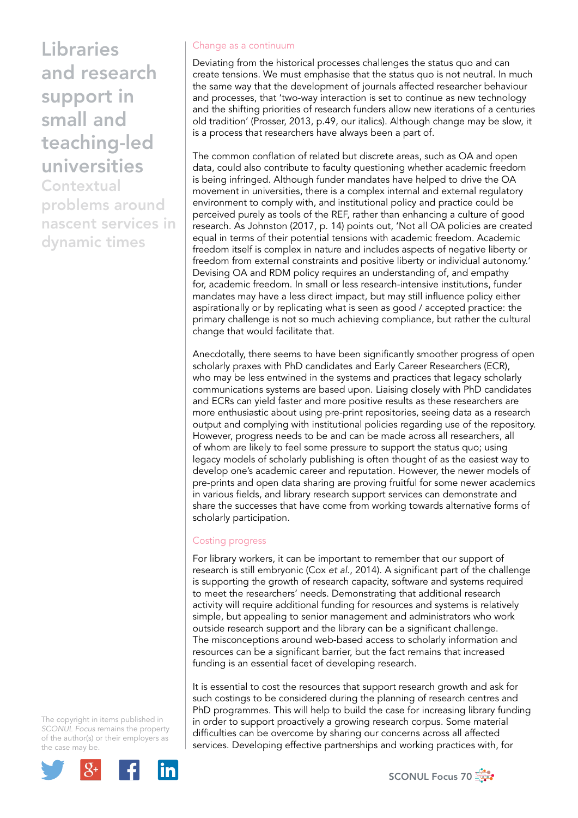**Contextual** problems around nascent services in dynamic times

## Change as a continuum

Deviating from the historical processes challenges the status quo and can create tensions. We must emphasise that the status quo is not neutral. In much the same way that the development of journals affected researcher behaviour and processes, that 'two-way interaction is set to continue as new technology and the shifting priorities of research funders allow new iterations of a centuries old tradition' (Prosser, 2013, p.49, our italics). Although change may be slow, it is a process that researchers have always been a part of.

The common conflation of related but discrete areas, such as OA and open data, could also contribute to faculty questioning whether academic freedom is being infringed. Although funder mandates have helped to drive the OA movement in universities, there is a complex internal and external regulatory environment to comply with, and institutional policy and practice could be perceived purely as tools of the REF, rather than enhancing a culture of good research. As Johnston (2017, p. 14) points out, 'Not all OA policies are created equal in terms of their potential tensions with academic freedom. Academic freedom itself is complex in nature and includes aspects of negative liberty or freedom from external constraints and positive liberty or individual autonomy.' Devising OA and RDM policy requires an understanding of, and empathy for, academic freedom. In small or less research-intensive institutions, funder mandates may have a less direct impact, but may still influence policy either aspirationally or by replicating what is seen as good / accepted practice: the primary challenge is not so much achieving compliance, but rather the cultural change that would facilitate that.

Anecdotally, there seems to have been significantly smoother progress of open scholarly praxes with PhD candidates and Early Career Researchers (ECR), who may be less entwined in the systems and practices that legacy scholarly communications systems are based upon. Liaising closely with PhD candidates and ECRs can yield faster and more positive results as these researchers are more enthusiastic about using pre-print repositories, seeing data as a research output and complying with institutional policies regarding use of the repository. However, progress needs to be and can be made across all researchers, all of whom are likely to feel some pressure to support the status quo; using legacy models of scholarly publishing is often thought of as the easiest way to develop one's academic career and reputation. However, the newer models of pre-prints and open data sharing are proving fruitful for some newer academics in various fields, and library research support services can demonstrate and share the successes that have come from working towards alternative forms of scholarly participation.

## Costing progress

For library workers, it can be important to remember that our support of research is still embryonic (Cox *et al*., 2014). A significant part of the challenge is supporting the growth of research capacity, software and systems required to meet the researchers' needs. Demonstrating that additional research activity will require additional funding for resources and systems is relatively simple, but appealing to senior management and administrators who work outside research support and the library can be a significant challenge. The misconceptions around web-based access to scholarly information and resources can be a significant barrier, but the fact remains that increased funding is an essential facet of developing research.

It is essential to cost the resources that support research growth and ask for such costings to be considered during the planning of research centres and PhD programmes. This will help to build the case for increasing library funding in order to support proactively a growing research corpus. Some material difficulties can be overcome by sharing our concerns across all affected services. Developing effective partnerships and working practices with, for



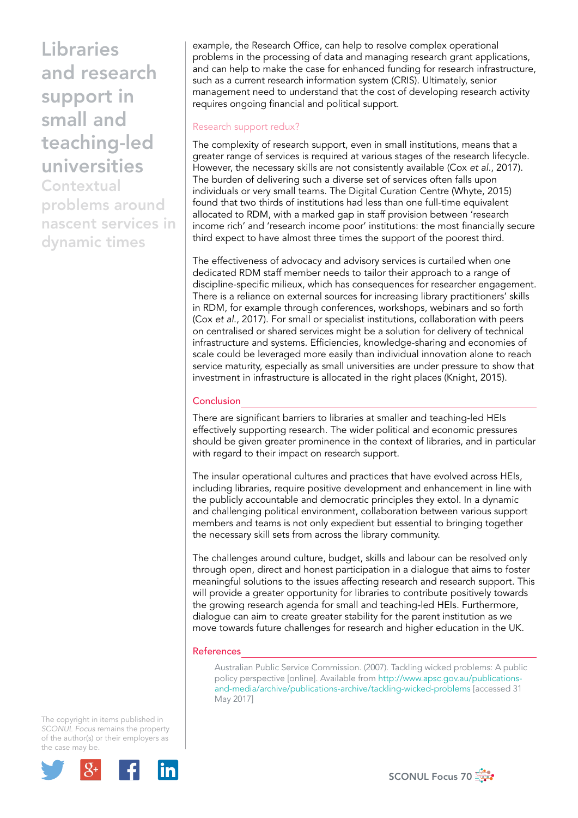**Contextual** problems around nascent services in dynamic times

example, the Research Office, can help to resolve complex operational problems in the processing of data and managing research grant applications, and can help to make the case for enhanced funding for research infrastructure, such as a current research information system (CRIS). Ultimately, senior management need to understand that the cost of developing research activity requires ongoing financial and political support.

## Research support redux?

The complexity of research support, even in small institutions, means that a greater range of services is required at various stages of the research lifecycle. However, the necessary skills are not consistently available (Cox *et al.*, 2017). The burden of delivering such a diverse set of services often falls upon individuals or very small teams. The Digital Curation Centre (Whyte, 2015) found that two thirds of institutions had less than one full-time equivalent allocated to RDM, with a marked gap in staff provision between 'research income rich' and 'research income poor' institutions: the most financially secure third expect to have almost three times the support of the poorest third.

The effectiveness of advocacy and advisory services is curtailed when one dedicated RDM staff member needs to tailor their approach to a range of discipline-specific milieux, which has consequences for researcher engagement. There is a reliance on external sources for increasing library practitioners' skills in RDM, for example through conferences, workshops, webinars and so forth (Cox *et al*., 2017). For small or specialist institutions, collaboration with peers on centralised or shared services might be a solution for delivery of technical infrastructure and systems. Efficiencies, knowledge-sharing and economies of scale could be leveraged more easily than individual innovation alone to reach service maturity, especially as small universities are under pressure to show that investment in infrastructure is allocated in the right places (Knight, 2015).

## **Conclusion**

There are significant barriers to libraries at smaller and teaching-led HEIs effectively supporting research. The wider political and economic pressures should be given greater prominence in the context of libraries, and in particular with regard to their impact on research support.

The insular operational cultures and practices that have evolved across HEIs, including libraries, require positive development and enhancement in line with the publicly accountable and democratic principles they extol. In a dynamic and challenging political environment, collaboration between various support members and teams is not only expedient but essential to bringing together the necessary skill sets from across the library community.

The challenges around culture, budget, skills and labour can be resolved only through open, direct and honest participation in a dialogue that aims to foster meaningful solutions to the issues affecting research and research support. This will provide a greater opportunity for libraries to contribute positively towards the growing research agenda for small and teaching-led HEIs. Furthermore, dialogue can aim to create greater stability for the parent institution as we move towards future challenges for research and higher education in the UK.

#### References

Australian Public Service Commission. (2007). Tackling wicked problems: A public policy perspective [online]. Available from http://www.apsc.gov.au/publicationsand-media/archive/publications-archive/tackling-wicked-problems [accessed 31 May 2017]



SCONUL Focus 70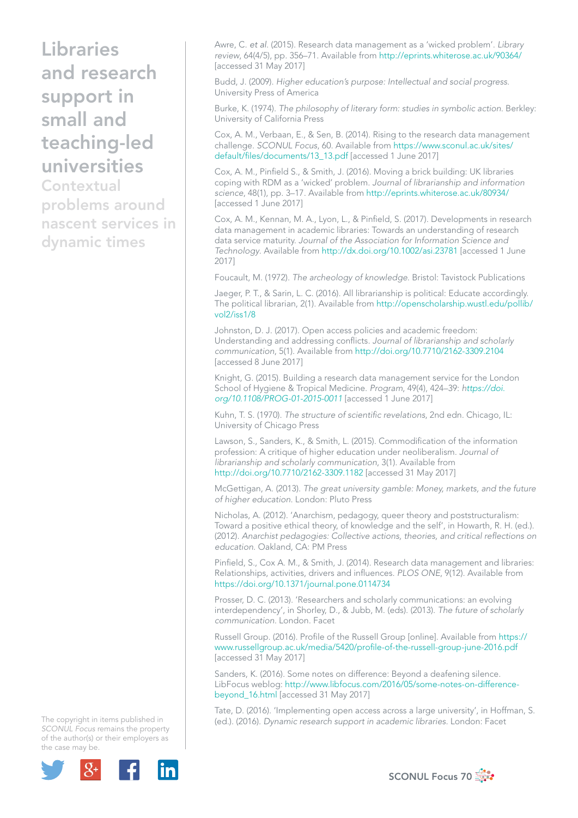**Contextual** problems around nascent services in dynamic times

The copyright in items published in *SCONUL Focus* remains the property of the author(s) or their employers as the case may be.



Awre, C. *et al*. (2015). Research data management as a 'wicked problem'. *Library review*, 64(4/5), pp. 356–71. Available from http://eprints.whiterose.ac.uk/90364/ [accessed 31 May 2017]

Budd, J. (2009). *Higher education's purpose: Intellectual and social progress*. University Press of America

Burke, K. (1974). *The philosophy of literary form: studies in symbolic action*. Berkley: University of California Press

Cox, A. M., Verbaan, E., & Sen, B. (2014). Rising to the research data management challenge. *SCONUL Focus*, 60. Available from https://www.sconul.ac.uk/sites/ default/files/documents/13\_13.pdf [accessed 1 June 2017]

Cox, A. M., Pinfield S., & Smith, J. (2016). Moving a brick building: UK libraries coping with RDM as a 'wicked' problem. *Journal of librarianship and information science*, 48(1), pp. 3–17. Available from http://eprints.whiterose.ac.uk/80934/ [accessed 1 June 2017]

Cox, A. M., Kennan, M. A., Lyon, L., & Pinfield, S. (2017). Developments in research data management in academic libraries: Towards an understanding of research data service maturity. *Journal of the Association for Information Science and Technology*. Available from http://dx.doi.org/10.1002/asi.23781 [accessed 1 June 2017]

Foucault, M. (1972). *The archeology of knowledge*. Bristol: Tavistock Publications

Jaeger, P. T., & Sarin, L. C. (2016). All librarianship is political: Educate accordingly. The political librarian, 2(1). Available from http://openscholarship.wustl.edu/pollib/ vol2/iss1/8

Johnston, D. J. (2017). Open access policies and academic freedom: Understanding and addressing conflicts. *Journal of librarianship and scholarly communication*, 5(1). Available from http://doi.org/10.7710/2162-3309.2104 [accessed 8 June 2017]

Knight, G. (2015). Building a research data management service for the London School of Hygiene & Tropical Medicine. *Program*, 49(4), 424–39: *https://doi. org/10.1108/PROG-01-2015-0011* [accessed 1 June 2017]

Kuhn, T. S. (1970). *The structure of scientific revelations*, 2nd edn. Chicago, IL: University of Chicago Press

Lawson, S., Sanders, K., & Smith, L. (2015). Commodification of the information profession: A critique of higher education under neoliberalism. *Journal of librarianship and scholarly communication*, 3(1). Available from http://doi.org/10.7710/2162-3309.1182 [accessed 31 May 2017]

McGettigan, A. (2013). *The great university gamble: Money, markets, and the future of higher education*. London: Pluto Press

Nicholas, A. (2012). 'Anarchism, pedagogy, queer theory and poststructuralism: Toward a positive ethical theory, of knowledge and the self', in Howarth, R. H. (ed.). (2012). *Anarchist pedagogies: Collective actions, theories, and critical reflections on education*. Oakland, CA: PM Press

Pinfield, S., Cox A. M., & Smith, J. (2014). Research data management and libraries: Relationships, activities, drivers and influences. *PLOS ONE*, 9(12). Available from https://doi.org/10.1371/journal.pone.0114734

Prosser, D. C. (2013). 'Researchers and scholarly communications: an evolving interdependency', in Shorley, D., & Jubb, M. (eds). (2013). *The future of scholarly communication.* London. Facet

Russell Group. (2016). Profile of the Russell Group [online]. Available from https:// www.russellgroup.ac.uk/media/5420/profile-of-the-russell-group-june-2016.pdf [accessed 31 May 2017]

Sanders, K. (2016). Some notes on difference: Beyond a deafening silence. LibFocus weblog: http://www.libfocus.com/2016/05/some-notes-on-differencebeyond\_16.html [accessed 31 May 2017]

Tate, D. (2016). 'Implementing open access across a large university', in Hoffman, S. (ed.). (2016). *Dynamic research support in academic libraries*. London: Facet